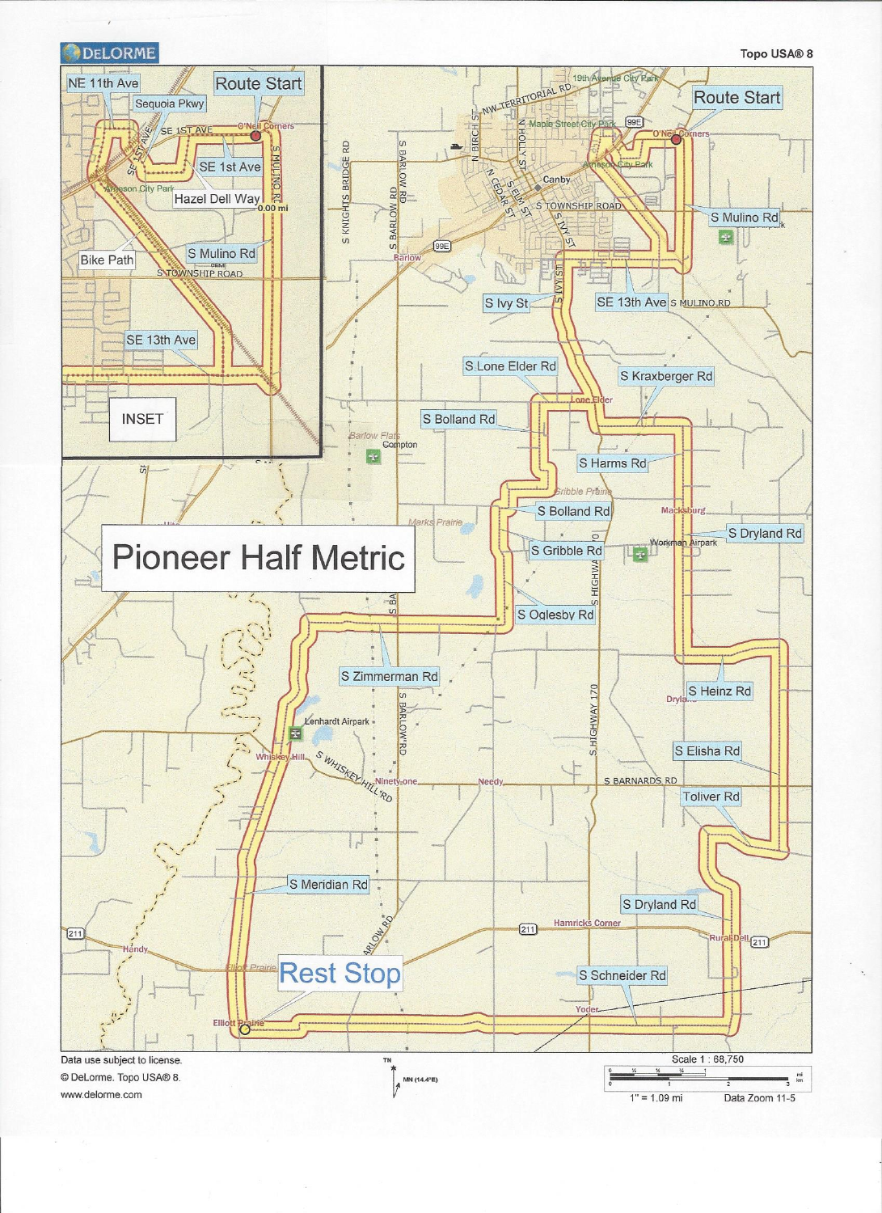